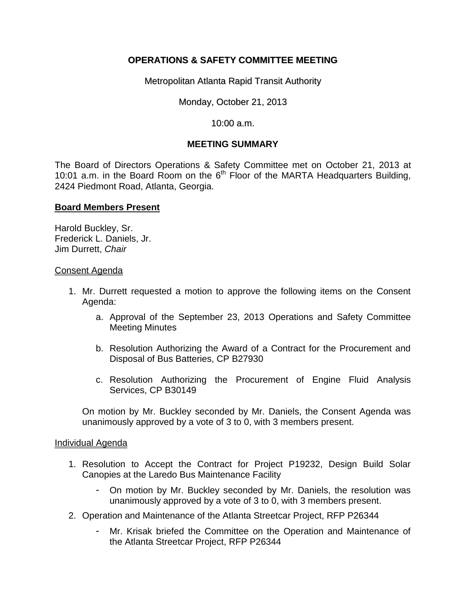# **OPERATIONS & SAFETY COMMITTEE MEETING**

Metropolitan Atlanta Rapid Transit Authority

Monday, October 21, 2013

10:00 a.m.

## **MEETING SUMMARY**

The Board of Directors Operations & Safety Committee met on October 21, 2013 at 10:01 a.m. in the Board Room on the  $6<sup>th</sup>$  Floor of the MARTA Headquarters Building, 2424 Piedmont Road, Atlanta, Georgia.

## **Board Members Present**

Harold Buckley, Sr. Frederick L. Daniels, Jr. Jim Durrett, *Chair*

#### Consent Agenda

- 1. Mr. Durrett requested a motion to approve the following items on the Consent Agenda:
	- a. Approval of the September 23, 2013 Operations and Safety Committee Meeting Minutes
	- b. Resolution Authorizing the Award of a Contract for the Procurement and Disposal of Bus Batteries, CP B27930
	- c. Resolution Authorizing the Procurement of Engine Fluid Analysis Services, CP B30149

On motion by Mr. Buckley seconded by Mr. Daniels, the Consent Agenda was unanimously approved by a vote of 3 to 0, with 3 members present.

### Individual Agenda

- 1. Resolution to Accept the Contract for Project P19232, Design Build Solar Canopies at the Laredo Bus Maintenance Facility
	- On motion by Mr. Buckley seconded by Mr. Daniels, the resolution was unanimously approved by a vote of 3 to 0, with 3 members present.
- 2. Operation and Maintenance of the Atlanta Streetcar Project, RFP P26344
	- Mr. Krisak briefed the Committee on the Operation and Maintenance of the Atlanta Streetcar Project, RFP P26344